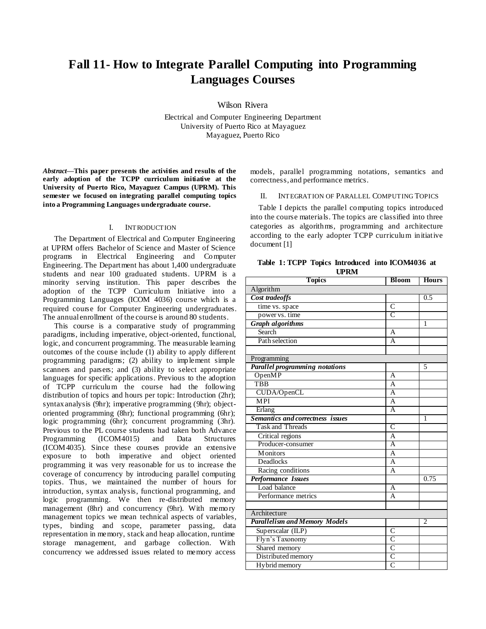# **Fall 11- How to Integrate Parallel Computing into Programming Languages Courses**

Wilson Rivera

Electrical and Computer Engineering Department University of Puerto Rico at Mayaguez Mayaguez, Puerto Rico

*Abstract***—This paper presents the activities and results of the early adoption of the TCPP curriculum initiative at the University of Puerto Rico, Mayaguez Campus (UPRM). This semester we focused on integrating parallel computing topics into a Programming Languages undergraduate course.** 

## I. INTRODUCTION

The Department of Electrical and Computer Engineering at UPRM offers Bachelor of Science and Master of Science programs in Electrical Engineering and Computer Engineering. The Department has about 1,400 undergraduate students and near 100 graduated students. UPRM is a minority serving institution. This paper describes the adoption of the TCPP Curriculum Initiative into a Programming Languages (ICOM 4036) course which is a required course for Computer Engineering undergraduates. The annual enrollment of the course is around 80 students.

This course is a comparative study of programming paradigms, including imperative, object-oriented, functional, logic, and concurrent programming. The measurable learning outcomes of the course include (1) ability to apply different programming paradigms; (2) ability to implement simple scanners and parsers; and (3) ability to select appropriate languages for specific applications. Previous to the adoption of TCPP curriculum the course had the following distribution of topics and hours per topic: Introduction (2hr); syntax analysis (9hr); imperative programming (9hr); objectoriented programming (8hr); functional programming (6hr); logic programming (6hr); concurrent programming (3hr). Previous to the PL course students had taken both Advance<br>Programming (ICOM4015) and Data Structures Programming (ICOM4015) and Data Structures (ICOM4035). Since these courses provide an extensive exposure to both imperative and object oriented programming it was very reasonable for us to increase the coverage of concurrency by introducing parallel computing topics. Thus, we maintained the number of hours for introduction, syntax analysis, functional programming, and logic programming. We then re-distributed memory management (8hr) and concurrency (9hr). With memory management topics we mean technical aspects of variables, types, binding and scope, parameter passing, data representation in memory, stack and heap allocation, runtime storage management, and garbage collection. With concurrency we addressed issues related to memory access

models, parallel programming notations, semantics and correctness, and performance metrics.

## II. INTEGRATION OF PARALLEL COMPUTING TOPICS

Table I depicts the parallel computing topics introduced into the course materials. The topics are classified into three categories as algorithms, programming and architecture according to the early adopter TCPP curriculum initiative document [1]

**Table 1: TCPP Topics Introduced into ICOM4036 at UPRM**

| <b>Topics</b>                         | <b>Bloom</b>            | <b>Hours</b>   |
|---------------------------------------|-------------------------|----------------|
| Algorithm                             |                         |                |
| Cost tradeoffs                        |                         | 0.5            |
| time vs. space                        | $\overline{C}$          |                |
| power vs. time                        | $\overline{C}$          |                |
| <b>Graph algorithms</b>               |                         | 1              |
| Search                                | А                       |                |
| Path selection                        | $\overline{A}$          |                |
|                                       |                         |                |
| Programming                           |                         |                |
| <b>Parallel programming notations</b> |                         | 5              |
| OpenMP                                | A                       |                |
| <b>TBB</b>                            | A                       |                |
| CUDA/OpenCL                           | $\overline{\mathsf{A}}$ |                |
| <b>MPI</b>                            | A                       |                |
| Erlang                                | A                       |                |
| Semantics and correctness issues      |                         | 1              |
| <b>Task and Threads</b>               | $\overline{\text{C}}$   |                |
| Critical regions                      | $\overline{A}$          |                |
| Producer-consumer                     | Ā                       |                |
| <b>Monitors</b>                       | A                       |                |
| <b>Deadlocks</b>                      | $\overline{A}$          |                |
| Racing conditions                     | A                       |                |
| Performance Issues                    |                         | 0.75           |
| Load balance                          | A                       |                |
| Performance metrics                   | A                       |                |
|                                       |                         |                |
| Architecture                          |                         |                |
| <b>Parallelism and Memory Models</b>  |                         | $\overline{2}$ |
| Superscalar (ILP)                     | $\overline{C}$          |                |
| Flyn's Taxonomy                       | C                       |                |
| Shared memory                         | $\overline{\rm c}$      |                |
| Distributed memory                    | C                       |                |
| Hy brid memory                        | $\overline{\mathsf{C}}$ |                |